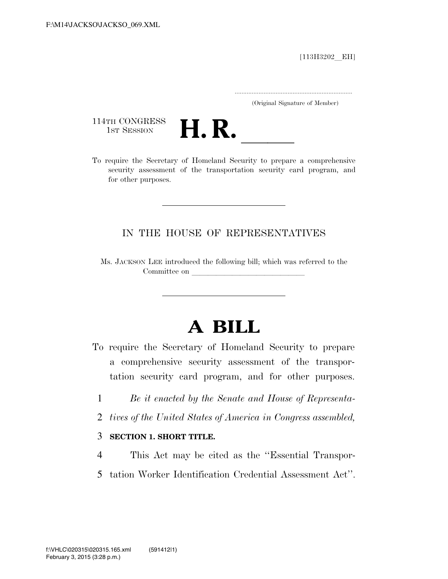$[113H3202$  EH]

.....................................................................

(Original Signature of Member)

114TH CONGRESS<br>1st Session



114TH CONGRESS<br>1st SESSION **H. R.** <u>Internative of Homeland Security to prepare</u> a comprehensive security assessment of the transportation security card program, and for other purposes.

## IN THE HOUSE OF REPRESENTATIVES

Ms. JACKSON LEE introduced the following bill; which was referred to the Committee on

# **A BILL**

- To require the Secretary of Homeland Security to prepare a comprehensive security assessment of the transportation security card program, and for other purposes.
	- 1 *Be it enacted by the Senate and House of Representa-*
	- 2 *tives of the United States of America in Congress assembled,*

#### 3 **SECTION 1. SHORT TITLE.**

- 4 This Act may be cited as the ''Essential Transpor-
- 5 tation Worker Identification Credential Assessment Act''.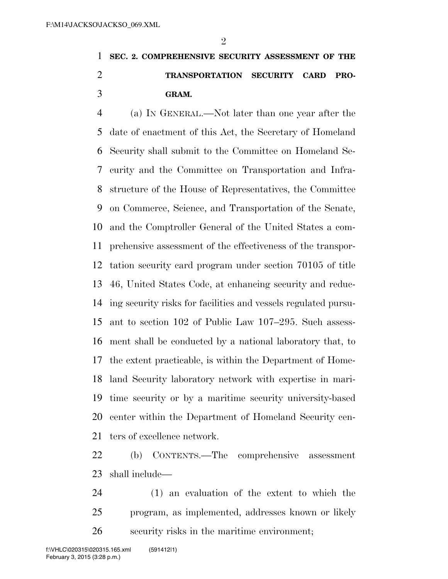$\mathfrak{D}$ 

# **SEC. 2. COMPREHENSIVE SECURITY ASSESSMENT OF THE TRANSPORTATION SECURITY CARD PRO-GRAM.**

 (a) IN GENERAL.—Not later than one year after the date of enactment of this Act, the Secretary of Homeland Security shall submit to the Committee on Homeland Se- curity and the Committee on Transportation and Infra- structure of the House of Representatives, the Committee on Commerce, Science, and Transportation of the Senate, and the Comptroller General of the United States a com- prehensive assessment of the effectiveness of the transpor- tation security card program under section 70105 of title 46, United States Code, at enhancing security and reduc- ing security risks for facilities and vessels regulated pursu- ant to section 102 of Public Law 107–295. Such assess- ment shall be conducted by a national laboratory that, to the extent practicable, is within the Department of Home- land Security laboratory network with expertise in mari- time security or by a maritime security university-based center within the Department of Homeland Security cen-ters of excellence network.

 (b) CONTENTS.—The comprehensive assessment shall include—

 (1) an evaluation of the extent to which the program, as implemented, addresses known or likely security risks in the maritime environment;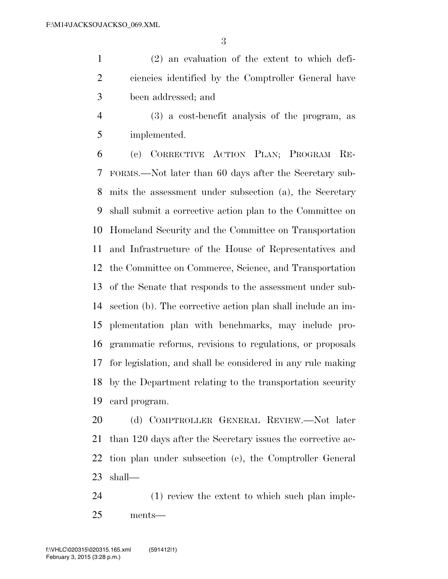(2) an evaluation of the extent to which defi- ciencies identified by the Comptroller General have been addressed; and

 (3) a cost-benefit analysis of the program, as implemented.

 (c) CORRECTIVE ACTION PLAN; PROGRAM RE- FORMS.—Not later than 60 days after the Secretary sub- mits the assessment under subsection (a), the Secretary shall submit a corrective action plan to the Committee on Homeland Security and the Committee on Transportation and Infrastructure of the House of Representatives and the Committee on Commerce, Science, and Transportation of the Senate that responds to the assessment under sub- section (b). The corrective action plan shall include an im- plementation plan with benchmarks, may include pro- grammatic reforms, revisions to regulations, or proposals for legislation, and shall be considered in any rule making by the Department relating to the transportation security card program.

 (d) COMPTROLLER GENERAL REVIEW.—Not later than 120 days after the Secretary issues the corrective ac- tion plan under subsection (c), the Comptroller General shall—

 (1) review the extent to which such plan imple-ments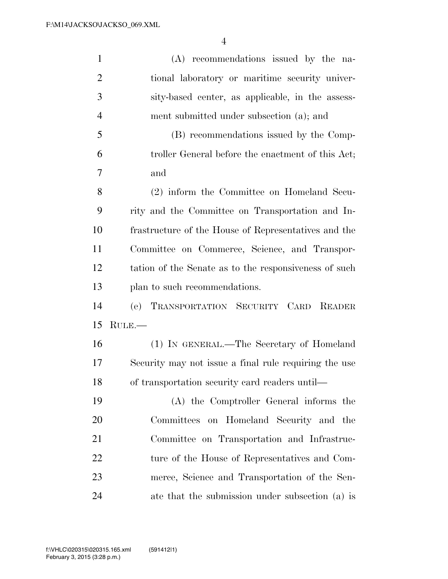| $\mathbf{1}$   | (A) recommendations issued by the na-                 |
|----------------|-------------------------------------------------------|
| $\overline{2}$ | tional laboratory or maritime security univer-        |
| 3              | sity-based center, as applicable, in the assess-      |
| $\overline{4}$ | ment submitted under subsection (a); and              |
| 5              | (B) recommendations issued by the Comp-               |
| 6              | troller General before the enactment of this Act;     |
| 7              | and                                                   |
| 8              | (2) inform the Committee on Homeland Secu-            |
| 9              | rity and the Committee on Transportation and In-      |
| 10             | frastructure of the House of Representatives and the  |
| 11             | Committee on Commerce, Science, and Transpor-         |
| 12             | tation of the Senate as to the responsiveness of such |
| 13             | plan to such recommendations.                         |
| 14             | (e) TRANSPORTATION SECURITY CARD READER               |
| 15             | RULE.                                                 |
| 16             | (1) IN GENERAL.—The Secretary of Homeland             |
| 17             | Security may not issue a final rule requiring the use |
| 18             | of transportation security card readers until—        |
| 19             | (A) the Comptroller General informs the               |
| 20             | Committees on Homeland Security and the               |
| 21             | Committee on Transportation and Infrastruc-           |
| 22             | ture of the House of Representatives and Com-         |
| 23             | merce, Science and Transportation of the Sen-         |
| 24             | ate that the submission under subsection (a) is       |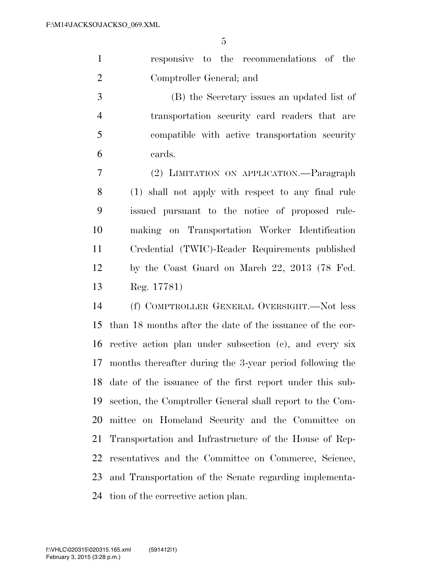|                |                          |  | responsive to the recommendations of the |  |
|----------------|--------------------------|--|------------------------------------------|--|
| $\overline{2}$ | Comptroller General; and |  |                                          |  |

 (B) the Secretary issues an updated list of transportation security card readers that are compatible with active transportation security cards.

 (2) LIMITATION ON APPLICATION.—Paragraph (1) shall not apply with respect to any final rule issued pursuant to the notice of proposed rule- making on Transportation Worker Identification Credential (TWIC)-Reader Requirements published by the Coast Guard on March 22, 2013 (78 Fed. Reg. 17781)

 (f) COMPTROLLER GENERAL OVERSIGHT.—Not less than 18 months after the date of the issuance of the cor- rective action plan under subsection (c), and every six months thereafter during the 3-year period following the date of the issuance of the first report under this sub- section, the Comptroller General shall report to the Com- mittee on Homeland Security and the Committee on Transportation and Infrastructure of the House of Rep- resentatives and the Committee on Commerce, Science, and Transportation of the Senate regarding implementa-tion of the corrective action plan.